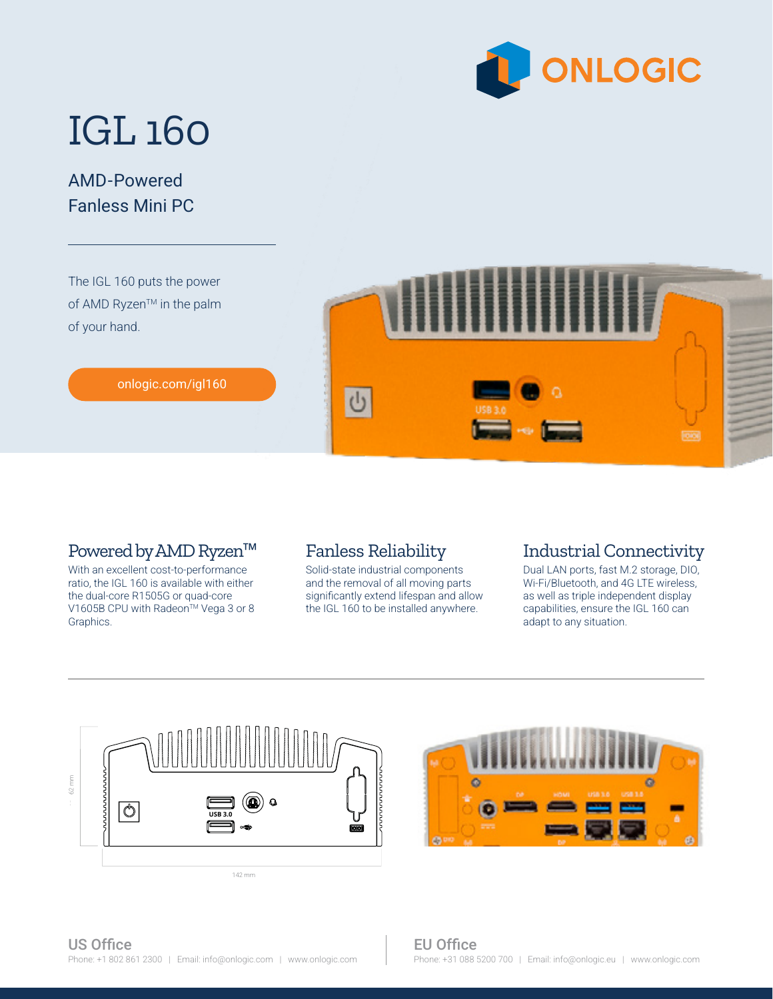

# IGL 160

### AMD-Powered Fanless Mini PC

The IGL 160 puts the power of AMD Ryzen™ in the palm of your hand.



#### [onlogic.com/igl160](https://www.onlogic.com/igl160/)

#### Powered by AMD Ryzen™

With an excellent cost-to-performance ratio, the IGL 160 is available with either the dual-core R1505G or quad-core V1605B CPU with Radeon<sup>™</sup> Vega 3 or 8 Graphics.

#### Fanless Reliability

Solid-state industrial components and the removal of all moving parts significantly extend lifespan and allow the IGL 160 to be installed anywhere.

#### Industrial Connectivity

Dual LAN ports, fast M.2 storage, DIO, Wi-Fi/Bluetooth, and 4G LTE wireless, as well as triple independent display capabilities, ensure the IGL 160 can adapt to any situation.

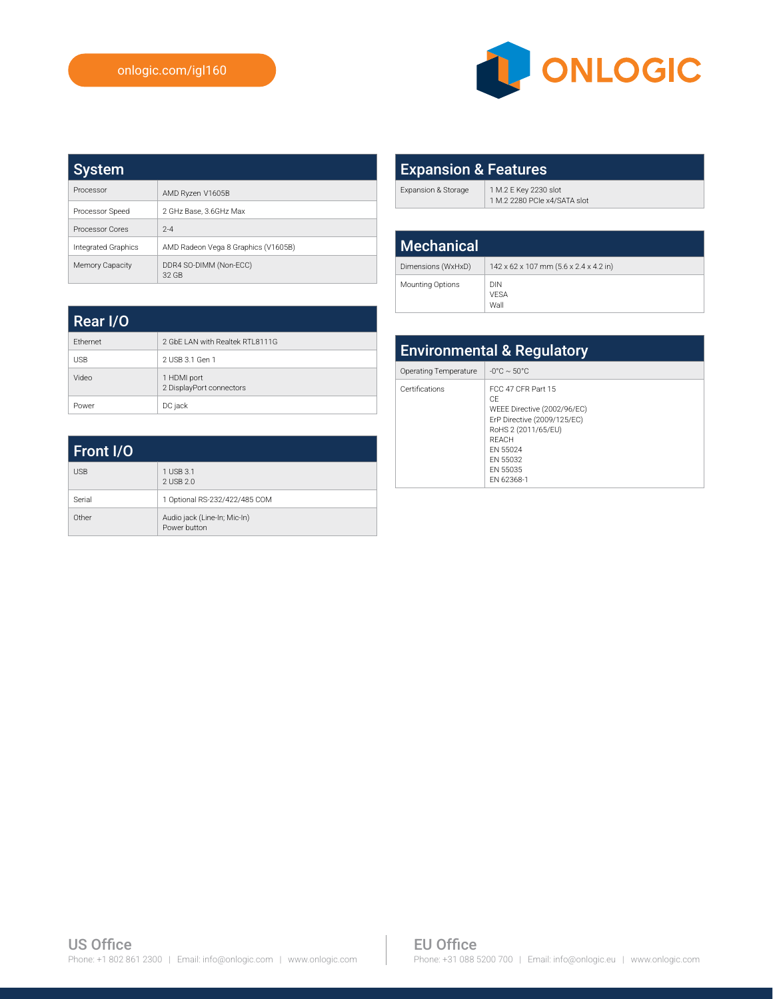

| <b>System</b>       |                                     |
|---------------------|-------------------------------------|
| Processor           | AMD Ryzen V1605B                    |
| Processor Speed     | 2 GHz Base, 3,6GHz Max              |
| Processor Cores     | $2 - 4$                             |
| Integrated Graphics | AMD Radeon Vega 8 Graphics (V1605B) |
| Memory Capacity     | DDR4 SO-DIMM (Non-ECC)<br>32 GB     |

| <b>Expansion &amp; Features</b> |                                                       |  |
|---------------------------------|-------------------------------------------------------|--|
| Expansion & Storage             | 1 M.2 E Key 2230 slot<br>1 M.2 2280 PCIe x4/SATA slot |  |
|                                 |                                                       |  |
| <b>Mechanical</b>               |                                                       |  |
| Dimensions (WxHxD)              | 142 x 62 x 107 mm (5.6 x 2.4 x 4.2 in)                |  |

Mounting Options DIN

VESA Wall

| Rear I/O   |                                         |
|------------|-----------------------------------------|
| Ethernet   | 2 GbF LAN with Realtek RTI 8111G        |
| <b>USB</b> | 2 USB 3.1 Gen 1                         |
| Video      | 1 HDMI port<br>2 DisplayPort connectors |
| Power      | DC jack                                 |

| Front I/O  |                                              |
|------------|----------------------------------------------|
| <b>USB</b> | 1 USB 3.1<br>2 USB 2.0                       |
| Serial     | 1 Optional RS-232/422/485 COM                |
| Other      | Audio jack (Line-In; Mic-In)<br>Power button |

| <b>Environmental &amp; Regulatory</b> |                                                                                                                                                                          |
|---------------------------------------|--------------------------------------------------------------------------------------------------------------------------------------------------------------------------|
| <b>Operating Temperature</b>          | $-0^{\circ}$ C $\sim$ 50 $^{\circ}$ C                                                                                                                                    |
| Certifications                        | FCC 47 CFR Part 15<br>CF<br>WEEE Directive (2002/96/EC)<br>ErP Directive (2009/125/EC)<br>RoHS 2 (2011/65/EU)<br>RFACH<br>FN 55024<br>FN 55032<br>FN 55035<br>FN 62368-1 |